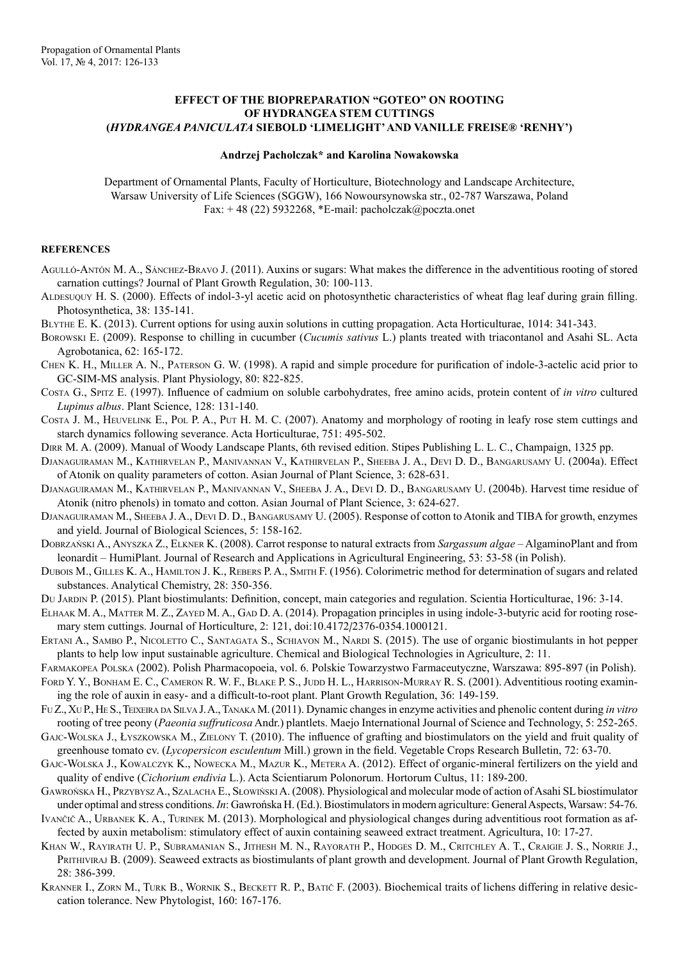## **EFFECT OF THE BIOPREPARATION "GOTEO" ON ROOTING OF HYDRANGEA STEM CUTTINGS (***HYDRANGEA PANICULATA* **SIEBOLD 'LIMELIGHT' AND VANILLE FREISE® 'RENHY')**

## **Andrzej Pacholczak\* and Karolina Nowakowska**

Department of Ornamental Plants, Faculty of Horticulture, Biotechnology and Landscape Architecture, Warsaw University of Life Sciences (SGGW), 166 Nowoursynowska str., 02-787 Warszawa, Poland Fax:  $+ 48$  (22) 5932268, \*E-mail: pacholczak@poczta.onet

## **REFERENCES**

- Agulló-Antón M. A., Sánchez-Bravo J. (2011). Auxins or sugars: What makes the difference in the adventitious rooting of stored carnation cuttings? Journal of Plant Growth Regulation, 30: 100-113.
- Aldesuquy H. S. (2000). Effects of indol-3-yl acetic acid on photosynthetic characteristics of wheat flag leaf during grain filling. Photosynthetica, 38: 135-141.
- Blythe E. K. (2013). Current options for using auxin solutions in cutting propagation. Acta Horticulturae, 1014: 341-343.
- Borowski E. (2009). Response to chilling in cucumber (*Cucumis sativus* L.) plants treated with triacontanol and Asahi SL. Acta Agrobotanica, 62: 165-172.
- Chen K. H., Miller A. N., Paterson G. W. (1998). A rapid and simple procedure for purification of indole-3-actelic acid prior to GC-SIM-MS analysis. Plant Physiology, 80: 822-825.
- Costa G., Spitz E. (1997). Influence of cadmium on soluble carbohydrates, free amino acids, protein content of *in vitro* cultured *Lupinus albus*. Plant Science, 128: 131-140.
- Costa J. M., Heuvelink E., Pol P. A., Put H. M. C. (2007). Anatomy and morphology of rooting in leafy rose stem cuttings and starch dynamics following severance. Acta Horticulturae, 751: 495-502.
- Dirr M. A. (2009). Manual of Woody Landscape Plants, 6th revised edition. Stipes Publishing L. L. C., Champaign, 1325 pp.
- Djanaguiraman M., Kathirvelan P., Manivannan V., Kathirvelan P., Sheeba J. A., Devi D. D., Bangarusamy U. (2004a). Effect of Atonik on quality parameters of cotton. Asian Journal of Plant Science, 3: 628-631.
- Djanaguiraman M., Kathirvelan P., Manivannan V., Sheeba J. A., Devi D. D., Bangarusamy U. (2004b). Harvest time residue of Atonik (nitro phenols) in tomato and cotton. Asian Journal of Plant Science, 3: 624-627.
- Djanaguiraman M., Sheeba J. A., Devi D. D., Bangarusamy U. (2005). Response of cotton to Atonik and TIBA for growth, enzymes and yield. Journal of Biological Sciences, 5: 158-162.
- Dobrzański A., Anyszka Z., Elkner K. (2008). Carrot response to natural extracts from *Sargassum algae* AlgaminoPlant and from leonardit – HumiPlant. Journal of Research and Applications in Agricultural Engineering, 53: 53-58 (in Polish).
- Dubois M., Gilles K. A., Hamilton J. K., Rebers P. A., Smith F. (1956). Colorimetric method for determination of sugars and related substances. Analytical Chemistry, 28: 350-356.
- Du Jardin P. (2015). Plant biostimulants: Definition, concept, main categories and regulation. Scientia Horticulturae, 196: 3-14.
- ELHAAK M. A., MATTER M. Z., ZAYED M. A., GAD D. A. (2014). Propagation principles in using indole-3-butyric acid for rooting rosemary stem cuttings. Journal of Horticulture, 2: 121, doi:10.4172/2376-0354.1000121.
- ERTANI A., SAMBO P., NICOLETTO C., SANTAGATA S., SCHIAVON M., NARDI S. (2015). The use of organic biostimulants in hot pepper plants to help low input sustainable agriculture. Chemical and Biological Technologies in Agriculture, 2: 11.
- Farmakopea Polska (2002). Polish Pharmacopoeia, vol. 6. Polskie Towarzystwo Farmaceutyczne, Warszawa: 895-897 (in Polish).
- FORD Y. Y., BONHAM E. C., CAMERON R. W. F., BLAKE P. S., JUDD H. L., HARRISON-MURRAY R. S. (2001). Adventitious rooting examining the role of auxin in easy- and a difficult-to-root plant. Plant Growth Regulation, 36: 149-159.
- Fu Z., Xu P., He S., Teixeira da Silva J. A., TanakaM. (2011). Dynamic changes in enzyme activities and phenolic content during *in vitro* rooting of tree peony (*Paeonia suffruticosa* Andr.) plantlets. Maejo International Journal of Science and Technology, 5: 252-265.
- Gajc-Wolska J., Łyszkowska M., Zielony T. (2010). The influence of grafting and biostimulators on the yield and fruit quality of greenhouse tomato cv. (*Lycopersicon esculentum* Mill.) grown in the field. Vegetable Crops Research Bulletin, 72: 63-70.
- Gajc-Wolska J., Kowalczyk K., Nowecka M., Mazur K., Metera A. (2012). Effect of organic-mineral fertilizers on the yield and quality of endive (*Cichorium endivia* L.). Acta Scientiarum Polonorum. Hortorum Cultus, 11: 189-200.
- Gawrońska H., PrzybyszA., Szalacha E., SłowińskiA. (2008). Physiological and molecular mode of action of Asahi SL biostimulator under optimal and stress conditions. *In*: Gawrońska H. (Ed.). Biostimulators in modern agriculture: General Aspects, Warsaw: 54-76.
- IVANČIČ A., URBANEK K. A., TURINEK M. (2013). Morphological and physiological changes during adventitious root formation as affected by auxin metabolism: stimulatory effect of auxin containing seaweed extract treatment. Agricultura, 10: 17-27.
- Khan W., Rayirath U. P., Subramanian S., Jithesh M. N., Rayorath P., Hodges D. M., Critchley A. T., Craigie J. S., Norrie J., PRITHIVIRAJ B. (2009). Seaweed extracts as biostimulants of plant growth and development. Journal of Plant Growth Regulation, 28: 386-399.
- KRANNER I., ZORN M., TURK B., WORNIK S., BECKETT R. P., BATIČ F. (2003). Biochemical traits of lichens differing in relative desiccation tolerance. New Phytologist, 160: 167-176.